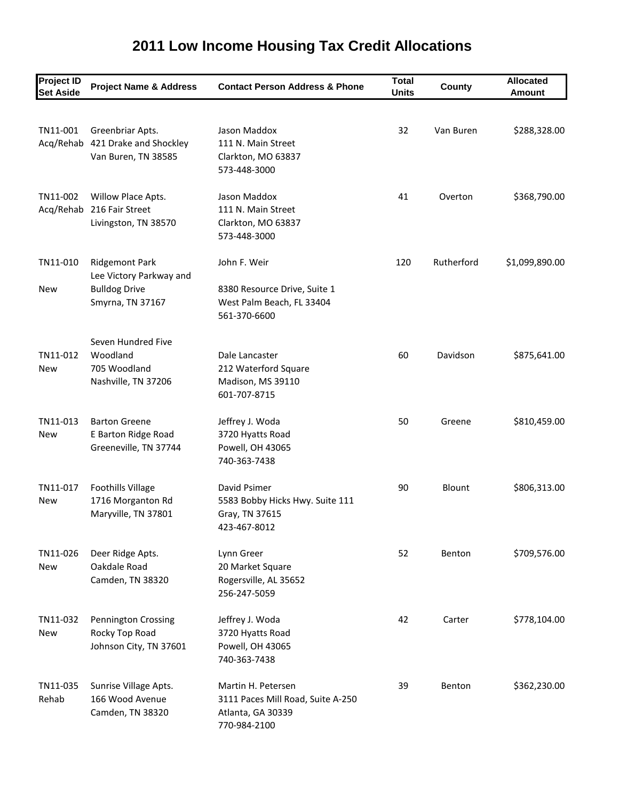## **2011 Low Income Housing Tax Credit Allocations**

| <b>Project ID</b><br><b>Set Aside</b> | <b>Project Name &amp; Address</b>                                           | <b>Contact Person Address &amp; Phone</b>                                                    | <b>Total</b><br><b>Units</b> | County     | <b>Allocated</b><br><b>Amount</b> |
|---------------------------------------|-----------------------------------------------------------------------------|----------------------------------------------------------------------------------------------|------------------------------|------------|-----------------------------------|
|                                       |                                                                             |                                                                                              |                              |            |                                   |
| TN11-001                              | Greenbriar Apts.<br>Acq/Rehab 421 Drake and Shockley<br>Van Buren, TN 38585 | Jason Maddox<br>111 N. Main Street<br>Clarkton, MO 63837<br>573-448-3000                     | 32                           | Van Buren  | \$288,328.00                      |
| TN11-002<br>Acq/Rehab                 | Willow Place Apts.<br>216 Fair Street<br>Livingston, TN 38570               | Jason Maddox<br>111 N. Main Street<br>Clarkton, MO 63837<br>573-448-3000                     | 41                           | Overton    | \$368,790.00                      |
| TN11-010                              | <b>Ridgemont Park</b>                                                       | John F. Weir                                                                                 | 120                          | Rutherford | \$1,099,890.00                    |
| <b>New</b>                            | Lee Victory Parkway and<br><b>Bulldog Drive</b><br>Smyrna, TN 37167         | 8380 Resource Drive, Suite 1<br>West Palm Beach, FL 33404<br>561-370-6600                    |                              |            |                                   |
|                                       | Seven Hundred Five                                                          |                                                                                              |                              |            |                                   |
| TN11-012<br><b>New</b>                | Woodland<br>705 Woodland<br>Nashville, TN 37206                             | Dale Lancaster<br>212 Waterford Square<br>Madison, MS 39110<br>601-707-8715                  | 60                           | Davidson   | \$875,641.00                      |
| TN11-013<br>New                       | <b>Barton Greene</b><br>E Barton Ridge Road<br>Greeneville, TN 37744        | Jeffrey J. Woda<br>3720 Hyatts Road<br>Powell, OH 43065<br>740-363-7438                      | 50                           | Greene     | \$810,459.00                      |
| TN11-017<br>New                       | <b>Foothills Village</b><br>1716 Morganton Rd<br>Maryville, TN 37801        | David Psimer<br>5583 Bobby Hicks Hwy. Suite 111<br>Gray, TN 37615<br>423-467-8012            | 90                           | Blount     | \$806,313.00                      |
| TN11-026<br><b>New</b>                | Deer Ridge Apts.<br>Oakdale Road<br>Camden, TN 38320                        | Lynn Greer<br>20 Market Square<br>Rogersville, AL 35652<br>256-247-5059                      | 52                           | Benton     | \$709,576.00                      |
| TN11-032<br><b>New</b>                | Pennington Crossing<br>Rocky Top Road<br>Johnson City, TN 37601             | Jeffrey J. Woda<br>3720 Hyatts Road<br>Powell, OH 43065<br>740-363-7438                      | 42                           | Carter     | \$778,104.00                      |
| TN11-035<br>Rehab                     | Sunrise Village Apts.<br>166 Wood Avenue<br>Camden, TN 38320                | Martin H. Petersen<br>3111 Paces Mill Road, Suite A-250<br>Atlanta, GA 30339<br>770-984-2100 | 39                           | Benton     | \$362,230.00                      |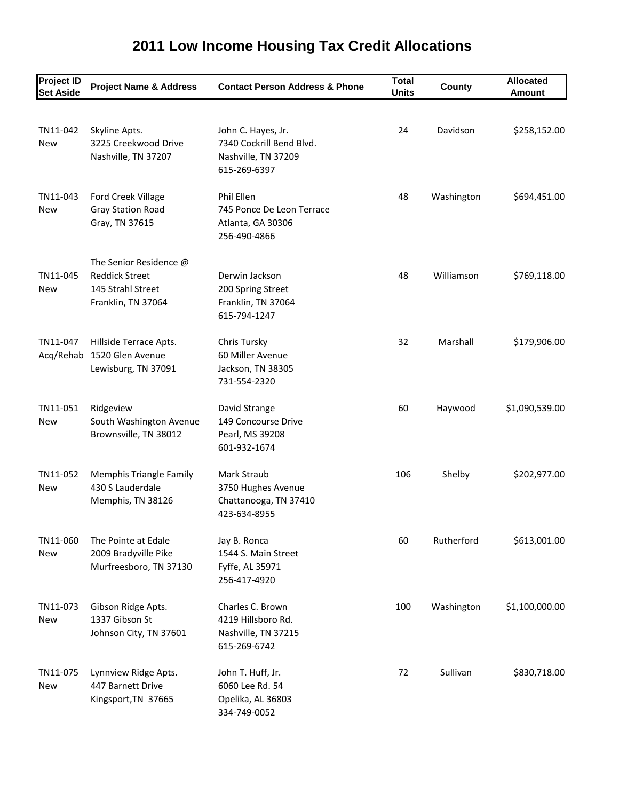## **2011 Low Income Housing Tax Credit Allocations**

| <b>Project ID</b><br><b>Set Aside</b> | <b>Project Name &amp; Address</b>                                                          | <b>Contact Person Address &amp; Phone</b>                                             | <b>Total</b><br><b>Units</b> | County     | <b>Allocated</b><br><b>Amount</b> |
|---------------------------------------|--------------------------------------------------------------------------------------------|---------------------------------------------------------------------------------------|------------------------------|------------|-----------------------------------|
|                                       |                                                                                            |                                                                                       |                              |            |                                   |
| TN11-042<br><b>New</b>                | Skyline Apts.<br>3225 Creekwood Drive<br>Nashville, TN 37207                               | John C. Hayes, Jr.<br>7340 Cockrill Bend Blvd.<br>Nashville, TN 37209<br>615-269-6397 | 24                           | Davidson   | \$258,152.00                      |
| TN11-043<br>New                       | Ford Creek Village<br><b>Gray Station Road</b><br>Gray, TN 37615                           | Phil Ellen<br>745 Ponce De Leon Terrace<br>Atlanta, GA 30306<br>256-490-4866          | 48                           | Washington | \$694,451.00                      |
| TN11-045<br><b>New</b>                | The Senior Residence @<br><b>Reddick Street</b><br>145 Strahl Street<br>Franklin, TN 37064 | Derwin Jackson<br>200 Spring Street<br>Franklin, TN 37064<br>615-794-1247             | 48                           | Williamson | \$769,118.00                      |
| TN11-047<br>Acq/Rehab                 | Hillside Terrace Apts.<br>1520 Glen Avenue<br>Lewisburg, TN 37091                          | Chris Tursky<br>60 Miller Avenue<br>Jackson, TN 38305<br>731-554-2320                 | 32                           | Marshall   | \$179,906.00                      |
| TN11-051<br><b>New</b>                | Ridgeview<br>South Washington Avenue<br>Brownsville, TN 38012                              | David Strange<br>149 Concourse Drive<br>Pearl, MS 39208<br>601-932-1674               | 60                           | Haywood    | \$1,090,539.00                    |
| TN11-052<br>New                       | Memphis Triangle Family<br>430 S Lauderdale<br>Memphis, TN 38126                           | Mark Straub<br>3750 Hughes Avenue<br>Chattanooga, TN 37410<br>423-634-8955            | 106                          | Shelby     | \$202,977.00                      |
| TN11-060<br><b>New</b>                | The Pointe at Edale<br>2009 Bradyville Pike<br>Murfreesboro, TN 37130                      | Jay B. Ronca<br>1544 S. Main Street<br>Fyffe, AL 35971<br>256-417-4920                | 60                           | Rutherford | \$613,001.00                      |
| TN11-073<br><b>New</b>                | Gibson Ridge Apts.<br>1337 Gibson St<br>Johnson City, TN 37601                             | Charles C. Brown<br>4219 Hillsboro Rd.<br>Nashville, TN 37215<br>615-269-6742         | 100                          | Washington | \$1,100,000.00                    |
| TN11-075<br><b>New</b>                | Lynnview Ridge Apts.<br>447 Barnett Drive<br>Kingsport, TN 37665                           | John T. Huff, Jr.<br>6060 Lee Rd. 54<br>Opelika, AL 36803<br>334-749-0052             | 72                           | Sullivan   | \$830,718.00                      |